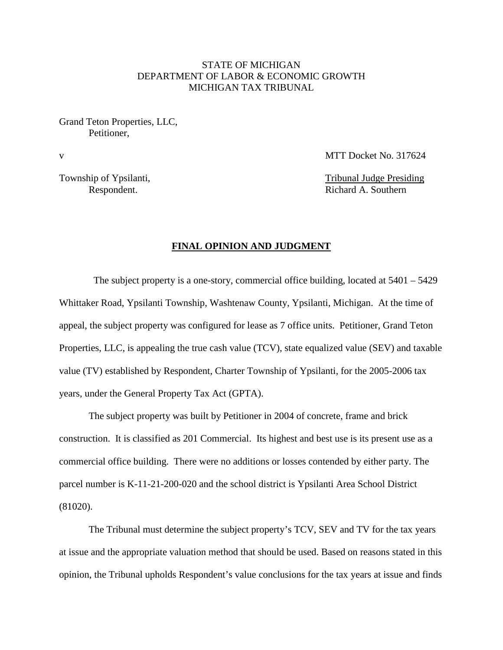## STATE OF MICHIGAN DEPARTMENT OF LABOR & ECONOMIC GROWTH MICHIGAN TAX TRIBUNAL

Grand Teton Properties, LLC, Petitioner,

v MTT Docket No. 317624

Township of Ypsilanti, Township of Ypsilanti,

Respondent. Richard A. Southern

### **FINAL OPINION AND JUDGMENT**

The subject property is a one-story, commercial office building, located at  $5401 - 5429$ Whittaker Road, Ypsilanti Township, Washtenaw County, Ypsilanti, Michigan. At the time of appeal, the subject property was configured for lease as 7 office units. Petitioner, Grand Teton Properties, LLC, is appealing the true cash value (TCV), state equalized value (SEV) and taxable value (TV) established by Respondent, Charter Township of Ypsilanti, for the 2005-2006 tax years, under the General Property Tax Act (GPTA).

The subject property was built by Petitioner in 2004 of concrete, frame and brick construction. It is classified as 201 Commercial. Its highest and best use is its present use as a commercial office building. There were no additions or losses contended by either party. The parcel number is K-11-21-200-020 and the school district is Ypsilanti Area School District (81020).

The Tribunal must determine the subject property's TCV, SEV and TV for the tax years at issue and the appropriate valuation method that should be used. Based on reasons stated in this opinion, the Tribunal upholds Respondent's value conclusions for the tax years at issue and finds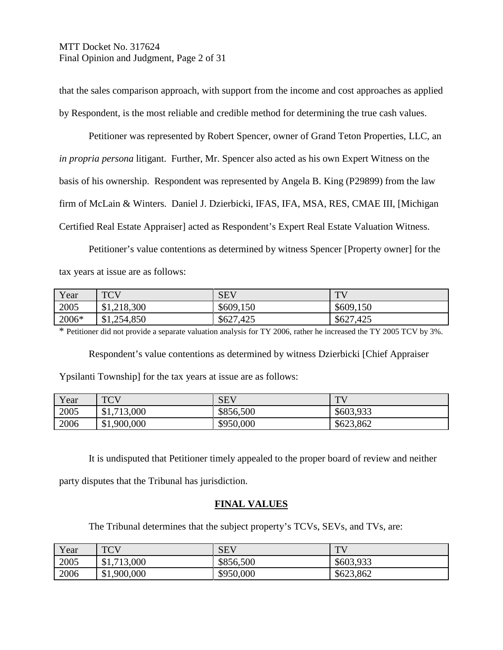# MTT Docket No. 317624 Final Opinion and Judgment, Page 2 of 31

that the sales comparison approach, with support from the income and cost approaches as applied by Respondent, is the most reliable and credible method for determining the true cash values.

Petitioner was represented by Robert Spencer, owner of Grand Teton Properties, LLC, an *in propria persona* litigant. Further, Mr. Spencer also acted as his own Expert Witness on the basis of his ownership. Respondent was represented by Angela B. King (P29899) from the law firm of McLain & Winters. Daniel J. Dzierbicki, IFAS, IFA, MSA, RES, CMAE III, [Michigan Certified Real Estate Appraiser] acted as Respondent's Expert Real Estate Valuation Witness.

Petitioner's value contentions as determined by witness Spencer [Property owner] for the tax years at issue are as follows:

| Year  | <b>TCV</b>  | <b>SEV</b> | TU        |
|-------|-------------|------------|-----------|
| 2005  | \$1,218,300 | \$609,150  | \$609,150 |
| 2006* | \$1,254,850 | \$627,425  | \$627,425 |

\* Petitioner did not provide a separate valuation analysis for TY 2006, rather he increased the TY 2005 TCV by 3%.

Respondent's value contentions as determined by witness Dzierbicki [Chief Appraiser Ypsilanti Township] for the tax years at issue are as follows:

| Year | <b>TCV</b><br>$\sim$ | <b>SEV</b> | TV        |
|------|----------------------|------------|-----------|
| 2005 | \$1,713,000          | \$856,500  | \$603,933 |
| 2006 | \$1,900,000          | \$950,000  | \$623,862 |

It is undisputed that Petitioner timely appealed to the proper board of review and neither

party disputes that the Tribunal has jurisdiction.

## **FINAL VALUES**

The Tribunal determines that the subject property's TCVs, SEVs, and TVs, are:

| Year | <b>TCV</b><br>$\sim$ | <b>SEV</b> | <b>TT</b> |
|------|----------------------|------------|-----------|
| 2005 | \$1,713,000          | \$856,500  | \$603,933 |
| 2006 | \$1,900,000          | \$950,000  | \$623,862 |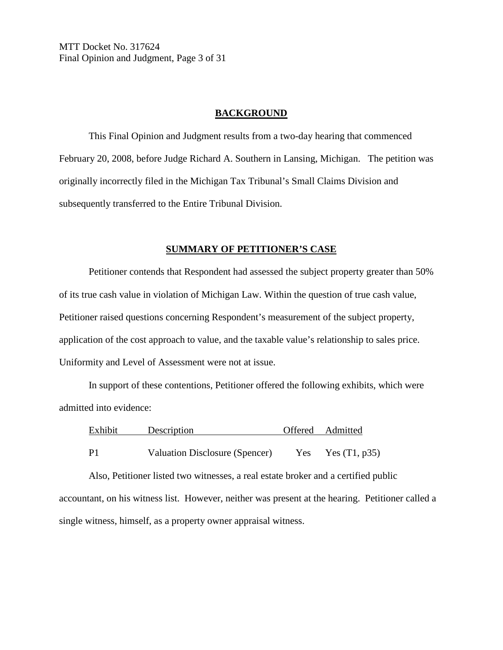MTT Docket No. 317624 Final Opinion and Judgment, Page 3 of 31

#### **BACKGROUND**

This Final Opinion and Judgment results from a two-day hearing that commenced February 20, 2008, before Judge Richard A. Southern in Lansing, Michigan. The petition was originally incorrectly filed in the Michigan Tax Tribunal's Small Claims Division and subsequently transferred to the Entire Tribunal Division.

### **SUMMARY OF PETITIONER'S CASE**

Petitioner contends that Respondent had assessed the subject property greater than 50% of its true cash value in violation of Michigan Law. Within the question of true cash value, Petitioner raised questions concerning Respondent's measurement of the subject property, application of the cost approach to value, and the taxable value's relationship to sales price. Uniformity and Level of Assessment were not at issue.

In support of these contentions, Petitioner offered the following exhibits, which were admitted into evidence:

| Exhibit        | Description                    |     | Offered Admitted |
|----------------|--------------------------------|-----|------------------|
|                |                                |     |                  |
| P <sub>1</sub> | Valuation Disclosure (Spencer) | Yes | Yes $(T1, p35)$  |

Also, Petitioner listed two witnesses, a real estate broker and a certified public accountant, on his witness list. However, neither was present at the hearing. Petitioner called a single witness, himself, as a property owner appraisal witness.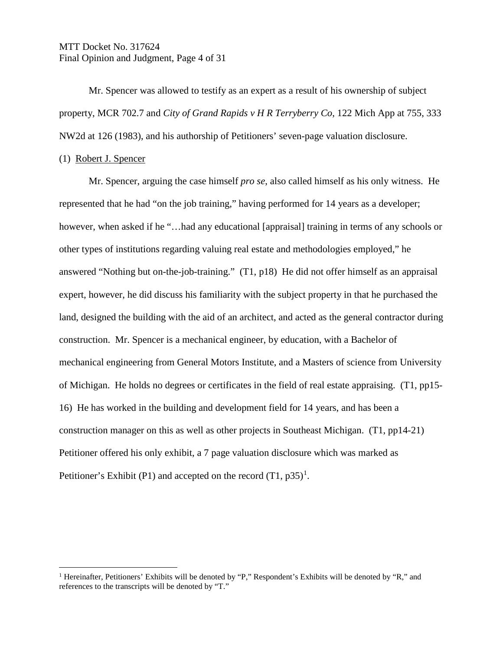## MTT Docket No. 317624 Final Opinion and Judgment, Page 4 of 31

Mr. Spencer was allowed to testify as an expert as a result of his ownership of subject property, MCR 702.7 and *City of Grand Rapids v H R Terryberry Co*, 122 Mich App at 755, 333 NW2d at 126 (1983), and his authorship of Petitioners' seven-page valuation disclosure.

#### (1) Robert J. Spencer

Mr. Spencer, arguing the case himself *pro se*, also called himself as his only witness. He represented that he had "on the job training," having performed for 14 years as a developer; however, when asked if he "...had any educational [appraisal] training in terms of any schools or other types of institutions regarding valuing real estate and methodologies employed," he answered "Nothing but on-the-job-training." (T1, p18) He did not offer himself as an appraisal expert, however, he did discuss his familiarity with the subject property in that he purchased the land, designed the building with the aid of an architect, and acted as the general contractor during construction. Mr. Spencer is a mechanical engineer, by education, with a Bachelor of mechanical engineering from General Motors Institute, and a Masters of science from University of Michigan. He holds no degrees or certificates in the field of real estate appraising. (T1, pp15- 16) He has worked in the building and development field for 14 years, and has been a construction manager on this as well as other projects in Southeast Michigan. (T1, pp14-21) Petitioner offered his only exhibit, a 7 page valuation disclosure which was marked as Petitioner's Exhibit (P[1](#page-3-0)) and accepted on the record  $(T1, p35)^{1}$ .

<span id="page-3-0"></span><sup>&</sup>lt;sup>1</sup> Hereinafter, Petitioners' Exhibits will be denoted by "P," Respondent's Exhibits will be denoted by "R," and references to the transcripts will be denoted by "T."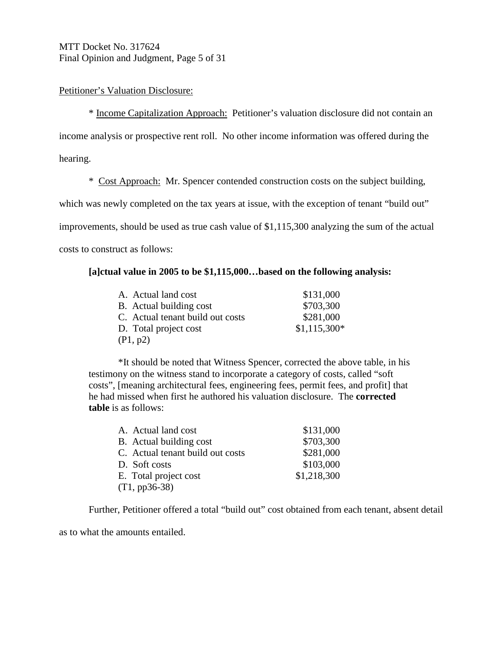## MTT Docket No. 317624 Final Opinion and Judgment, Page 5 of 31

## Petitioner's Valuation Disclosure:

\* Income Capitalization Approach: Petitioner's valuation disclosure did not contain an income analysis or prospective rent roll. No other income information was offered during the hearing.

\* Cost Approach: Mr. Spencer contended construction costs on the subject building,

which was newly completed on the tax years at issue, with the exception of tenant "build out"

improvements, should be used as true cash value of \$1,115,300 analyzing the sum of the actual

costs to construct as follows:

### **[a]ctual value in 2005 to be \$1,115,000…based on the following analysis:**

| A. Actual land cost              | \$131,000     |
|----------------------------------|---------------|
| B. Actual building cost          | \$703,300     |
| C. Actual tenant build out costs | \$281,000     |
| D. Total project cost            | $$1,115,300*$ |
| (P1, p2)                         |               |

\*It should be noted that Witness Spencer, corrected the above table, in his testimony on the witness stand to incorporate a category of costs, called "soft costs", [meaning architectural fees, engineering fees, permit fees, and profit] that he had missed when first he authored his valuation disclosure. The **corrected table** is as follows:

| A. Actual land cost              | \$131,000   |
|----------------------------------|-------------|
| B. Actual building cost          | \$703,300   |
| C. Actual tenant build out costs | \$281,000   |
| D. Soft costs                    | \$103,000   |
| E. Total project cost            | \$1,218,300 |
| $(T1, pp36-38)$                  |             |

Further, Petitioner offered a total "build out" cost obtained from each tenant, absent detail

as to what the amounts entailed.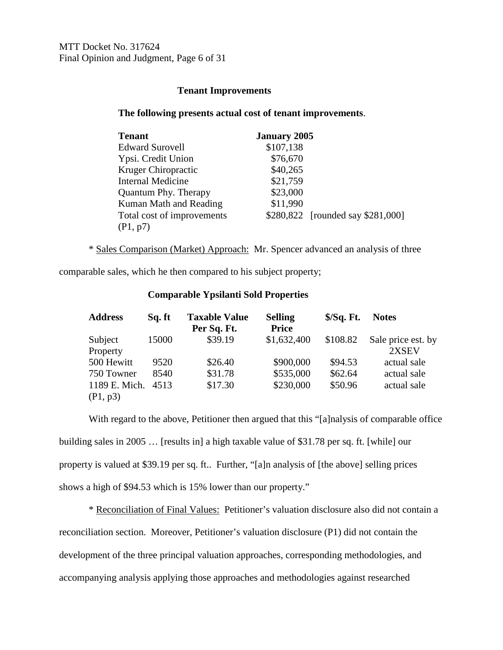## **Tenant Improvements**

### **The following presents actual cost of tenant improvements**.

| <b>Tenant</b>               | <b>January 2005</b> |                                   |
|-----------------------------|---------------------|-----------------------------------|
| <b>Edward Surovell</b>      | \$107,138           |                                   |
| Ypsi. Credit Union          | \$76,670            |                                   |
| <b>Kruger Chiropractic</b>  | \$40,265            |                                   |
| <b>Internal Medicine</b>    | \$21,759            |                                   |
| <b>Quantum Phy. Therapy</b> | \$23,000            |                                   |
| Kuman Math and Reading      | \$11,990            |                                   |
| Total cost of improvements  |                     | \$280,822 [rounded say \$281,000] |
| (P1, p7)                    |                     |                                   |

\* Sales Comparison (Market) Approach: Mr. Spencer advanced an analysis of three

comparable sales, which he then compared to his subject property;

| <b>Address</b> | Sq. ft | <b>Taxable Value</b><br>Per Sq. Ft. | <b>Selling</b><br><b>Price</b> | $S/Sq.$ Ft. | <b>Notes</b>       |
|----------------|--------|-------------------------------------|--------------------------------|-------------|--------------------|
| Subject        | 15000  | \$39.19                             | \$1,632,400                    | \$108.82    | Sale price est. by |
| Property       |        |                                     |                                |             | 2XSEV              |
| 500 Hewitt     | 9520   | \$26.40                             | \$900,000                      | \$94.53     | actual sale        |
| 750 Towner     | 8540   | \$31.78                             | \$535,000                      | \$62.64     | actual sale        |
| 1189 E. Mich.  | 4513   | \$17.30                             | \$230,000                      | \$50.96     | actual sale        |
| (P1, p3)       |        |                                     |                                |             |                    |

### **Comparable Ypsilanti Sold Properties**

With regard to the above, Petitioner then argued that this "[a]nalysis of comparable office building sales in 2005 … [results in] a high taxable value of \$31.78 per sq. ft. [while] our property is valued at \$39.19 per sq. ft.. Further, "[a]n analysis of [the above] selling prices shows a high of \$94.53 which is 15% lower than our property."

\* Reconciliation of Final Values: Petitioner's valuation disclosure also did not contain a reconciliation section. Moreover, Petitioner's valuation disclosure (P1) did not contain the development of the three principal valuation approaches, corresponding methodologies, and accompanying analysis applying those approaches and methodologies against researched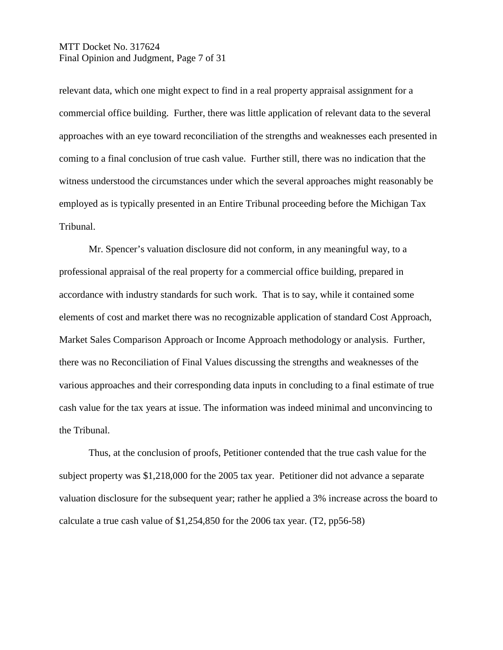## MTT Docket No. 317624 Final Opinion and Judgment, Page 7 of 31

relevant data, which one might expect to find in a real property appraisal assignment for a commercial office building. Further, there was little application of relevant data to the several approaches with an eye toward reconciliation of the strengths and weaknesses each presented in coming to a final conclusion of true cash value. Further still, there was no indication that the witness understood the circumstances under which the several approaches might reasonably be employed as is typically presented in an Entire Tribunal proceeding before the Michigan Tax Tribunal.

Mr. Spencer's valuation disclosure did not conform, in any meaningful way, to a professional appraisal of the real property for a commercial office building, prepared in accordance with industry standards for such work. That is to say, while it contained some elements of cost and market there was no recognizable application of standard Cost Approach, Market Sales Comparison Approach or Income Approach methodology or analysis. Further, there was no Reconciliation of Final Values discussing the strengths and weaknesses of the various approaches and their corresponding data inputs in concluding to a final estimate of true cash value for the tax years at issue. The information was indeed minimal and unconvincing to the Tribunal.

Thus, at the conclusion of proofs, Petitioner contended that the true cash value for the subject property was \$1,218,000 for the 2005 tax year. Petitioner did not advance a separate valuation disclosure for the subsequent year; rather he applied a 3% increase across the board to calculate a true cash value of \$1,254,850 for the 2006 tax year. (T2, pp56-58)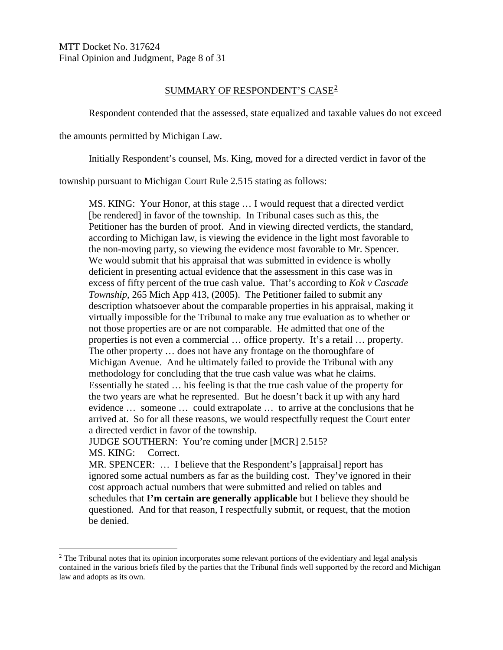MTT Docket No. 317624 Final Opinion and Judgment, Page 8 of 31

### SUMMARY OF RESPONDENT'S CASE[2](#page-7-0)

Respondent contended that the assessed, state equalized and taxable values do not exceed

the amounts permitted by Michigan Law.

Initially Respondent's counsel, Ms. King, moved for a directed verdict in favor of the

township pursuant to Michigan Court Rule 2.515 stating as follows:

MS. KING: Your Honor, at this stage … I would request that a directed verdict [be rendered] in favor of the township. In Tribunal cases such as this, the Petitioner has the burden of proof. And in viewing directed verdicts, the standard, according to Michigan law, is viewing the evidence in the light most favorable to the non-moving party, so viewing the evidence most favorable to Mr. Spencer. We would submit that his appraisal that was submitted in evidence is wholly deficient in presenting actual evidence that the assessment in this case was in excess of fifty percent of the true cash value. That's according to *Kok v Cascade Township*, 265 Mich App 413, (2005). The Petitioner failed to submit any description whatsoever about the comparable properties in his appraisal, making it virtually impossible for the Tribunal to make any true evaluation as to whether or not those properties are or are not comparable. He admitted that one of the properties is not even a commercial … office property. It's a retail … property. The other property … does not have any frontage on the thoroughfare of Michigan Avenue. And he ultimately failed to provide the Tribunal with any methodology for concluding that the true cash value was what he claims. Essentially he stated … his feeling is that the true cash value of the property for the two years are what he represented. But he doesn't back it up with any hard evidence … someone … could extrapolate … to arrive at the conclusions that he arrived at. So for all these reasons, we would respectfully request the Court enter a directed verdict in favor of the township. JUDGE SOUTHERN: You're coming under [MCR] 2.515? MS. KING: Correct. MR. SPENCER: … I believe that the Respondent's [appraisal] report has ignored some actual numbers as far as the building cost. They've ignored in their cost approach actual numbers that were submitted and relied on tables and schedules that **I'm certain are generally applicable** but I believe they should be questioned. And for that reason, I respectfully submit, or request, that the motion be denied.

<span id="page-7-0"></span><sup>&</sup>lt;sup>2</sup> The Tribunal notes that its opinion incorporates some relevant portions of the evidentiary and legal analysis contained in the various briefs filed by the parties that the Tribunal finds well supported by the record and Michigan law and adopts as its own.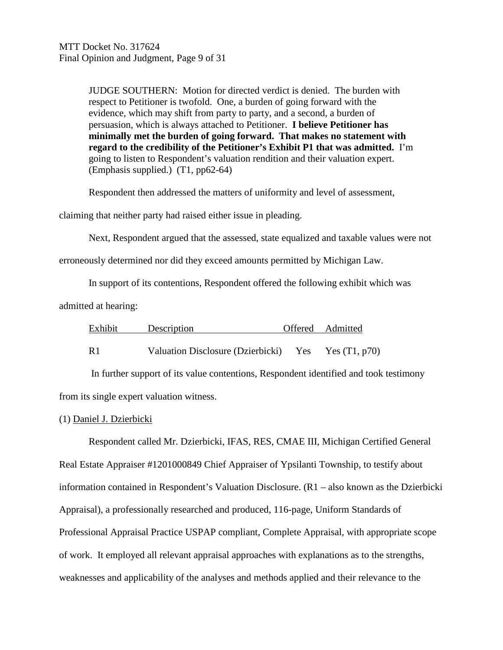JUDGE SOUTHERN: Motion for directed verdict is denied. The burden with respect to Petitioner is twofold. One, a burden of going forward with the evidence, which may shift from party to party, and a second, a burden of persuasion, which is always attached to Petitioner. **I believe Petitioner has minimally met the burden of going forward. That makes no statement with regard to the credibility of the Petitioner's Exhibit P1 that was admitted.** I'm going to listen to Respondent's valuation rendition and their valuation expert. (Emphasis supplied.) (T1, pp62-64)

Respondent then addressed the matters of uniformity and level of assessment,

claiming that neither party had raised either issue in pleading.

Next, Respondent argued that the assessed, state equalized and taxable values were not

erroneously determined nor did they exceed amounts permitted by Michigan Law.

In support of its contentions, Respondent offered the following exhibit which was

admitted at hearing:

| Exhibit | Description                                         | Offered Admitted |
|---------|-----------------------------------------------------|------------------|
|         |                                                     |                  |
| R1      | Valuation Disclosure (Dzierbicki) Yes Yes (T1, p70) |                  |

In further support of its value contentions, Respondent identified and took testimony from its single expert valuation witness.

### (1) Daniel J. Dzierbicki

Respondent called Mr. Dzierbicki, IFAS, RES, CMAE III, Michigan Certified General Real Estate Appraiser #1201000849 Chief Appraiser of Ypsilanti Township, to testify about information contained in Respondent's Valuation Disclosure. (R1 – also known as the Dzierbicki Appraisal), a professionally researched and produced, 116-page, Uniform Standards of Professional Appraisal Practice USPAP compliant, Complete Appraisal, with appropriate scope of work. It employed all relevant appraisal approaches with explanations as to the strengths, weaknesses and applicability of the analyses and methods applied and their relevance to the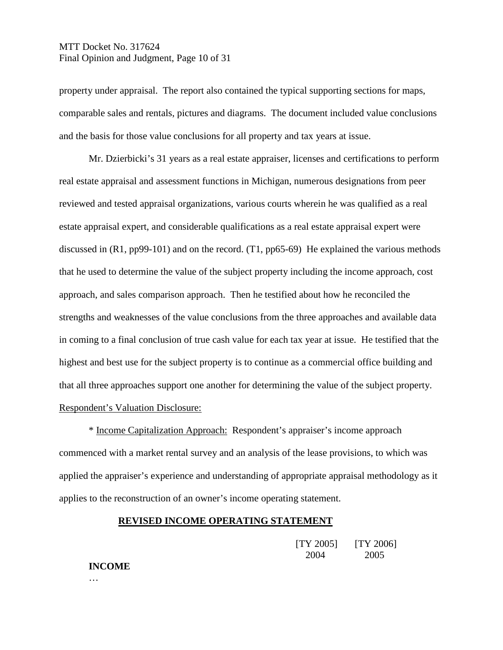## MTT Docket No. 317624 Final Opinion and Judgment, Page 10 of 31

property under appraisal. The report also contained the typical supporting sections for maps, comparable sales and rentals, pictures and diagrams. The document included value conclusions and the basis for those value conclusions for all property and tax years at issue.

Mr. Dzierbicki's 31 years as a real estate appraiser, licenses and certifications to perform real estate appraisal and assessment functions in Michigan, numerous designations from peer reviewed and tested appraisal organizations, various courts wherein he was qualified as a real estate appraisal expert, and considerable qualifications as a real estate appraisal expert were discussed in (R1, pp99-101) and on the record. (T1, pp65-69) He explained the various methods that he used to determine the value of the subject property including the income approach, cost approach, and sales comparison approach. Then he testified about how he reconciled the strengths and weaknesses of the value conclusions from the three approaches and available data in coming to a final conclusion of true cash value for each tax year at issue. He testified that the highest and best use for the subject property is to continue as a commercial office building and that all three approaches support one another for determining the value of the subject property. Respondent's Valuation Disclosure:

\* Income Capitalization Approach:Respondent's appraiser's income approach commenced with a market rental survey and an analysis of the lease provisions, to which was applied the appraiser's experience and understanding of appropriate appraisal methodology as it applies to the reconstruction of an owner's income operating statement.

### **REVISED INCOME OPERATING STATEMENT**

| [TY 2005] | [TY 2006] |
|-----------|-----------|
| 2004      | 2005      |

#### **INCOME**

…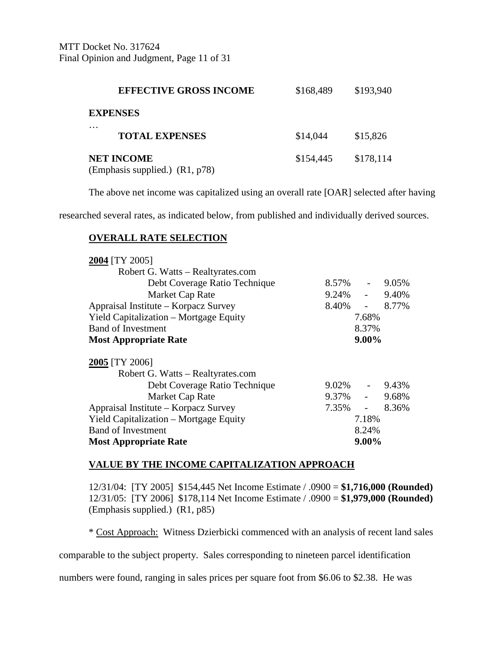MTT Docket No. 317624 Final Opinion and Judgment, Page 11 of 31

| <b>EFFECTIVE GROSS INCOME</b>                       | \$168,489 | \$193,940 |
|-----------------------------------------------------|-----------|-----------|
| <b>EXPENSES</b>                                     |           |           |
| .<br><b>TOTAL EXPENSES</b>                          | \$14,044  | \$15,826  |
| <b>NET INCOME</b><br>(Emphasis supplied.) (R1, p78) | \$154,445 | \$178,114 |

The above net income was capitalized using an overall rate [OAR] selected after having

researched several rates, as indicated below, from published and individually derived sources.

### **OVERALL RATE SELECTION**

| 2004 [TY 2005]                         |            |                     |       |
|----------------------------------------|------------|---------------------|-------|
| Robert G. Watts – Realtyrates.com      |            |                     |       |
| Debt Coverage Ratio Technique          | $8.57\%$ - |                     | 9.05% |
| Market Cap Rate                        | $9.24\%$ - |                     | 9.40% |
| Appraisal Institute – Korpacz Survey   | 8.40%      | $\omega_{\rm{max}}$ | 8.77% |
| Yield Capitalization – Mortgage Equity |            | 7.68%               |       |
| <b>Band of Investment</b>              |            | 8.37%               |       |
| <b>Most Appropriate Rate</b>           |            | $9.00\%$            |       |
|                                        |            |                     |       |
| 2005 [TY 2006]                         |            |                     |       |
| Robert G. Watts – Realtyrates.com      |            |                     |       |
| Debt Coverage Ratio Technique          | $9.02\%$ - |                     | 9.43% |
| Market Cap Rate                        | $9.37\%$ - |                     | 9.68% |
| Appraisal Institute – Korpacz Survey   | 7.35%      | $\Delta \sim 10^4$  | 8.36% |
| Yield Capitalization – Mortgage Equity |            | 7.18%               |       |
| <b>Band of Investment</b>              |            | 8.24%               |       |
| <b>Most Appropriate Rate</b>           |            | $9.00\%$            |       |

#### **VALUE BY THE INCOME CAPITALIZATION APPROACH**

12/31/04: [TY 2005] \$154,445 Net Income Estimate / .0900 = **\$1,716,000 (Rounded)** 12/31/05: [TY 2006] \$178,114 Net Income Estimate / .0900 = **\$1,979,000 (Rounded)** (Emphasis supplied.) (R1, p85)

\* Cost Approach: Witness Dzierbicki commenced with an analysis of recent land sales

comparable to the subject property. Sales corresponding to nineteen parcel identification

numbers were found, ranging in sales prices per square foot from \$6.06 to \$2.38. He was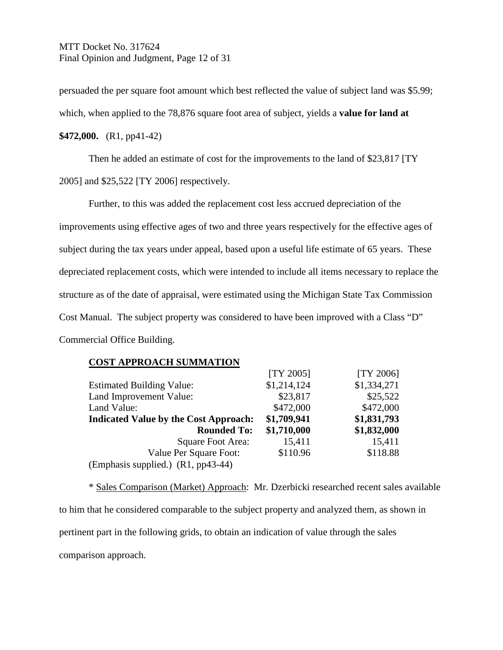MTT Docket No. 317624 Final Opinion and Judgment, Page 12 of 31

persuaded the per square foot amount which best reflected the value of subject land was \$5.99; which, when applied to the 78,876 square foot area of subject, yields a **value for land at \$472,000.** (R1, pp41-42)

Then he added an estimate of cost for the improvements to the land of \$23,817 [TY 2005] and \$25,522 [TY 2006] respectively.

Further, to this was added the replacement cost less accrued depreciation of the improvements using effective ages of two and three years respectively for the effective ages of subject during the tax years under appeal, based upon a useful life estimate of 65 years. These depreciated replacement costs, which were intended to include all items necessary to replace the structure as of the date of appraisal, were estimated using the Michigan State Tax Commission Cost Manual. The subject property was considered to have been improved with a Class "D" Commercial Office Building.

#### **COST APPROACH SUMMATION**

|                                              | $[TY 2005]$ | [TY 2006]   |
|----------------------------------------------|-------------|-------------|
| <b>Estimated Building Value:</b>             | \$1,214,124 | \$1,334,271 |
| Land Improvement Value:                      | \$23,817    | \$25,522    |
| Land Value:                                  | \$472,000   | \$472,000   |
| <b>Indicated Value by the Cost Approach:</b> | \$1,709,941 | \$1,831,793 |
| <b>Rounded To:</b>                           | \$1,710,000 | \$1,832,000 |
| Square Foot Area:                            | 15,411      | 15,411      |
| Value Per Square Foot:                       | \$110.96    | \$118.88    |
| (Emphasis supplied.) (R1, pp43-44)           |             |             |

\* Sales Comparison (Market) Approach: Mr. Dzerbicki researched recent sales available to him that he considered comparable to the subject property and analyzed them, as shown in pertinent part in the following grids, to obtain an indication of value through the sales comparison approach.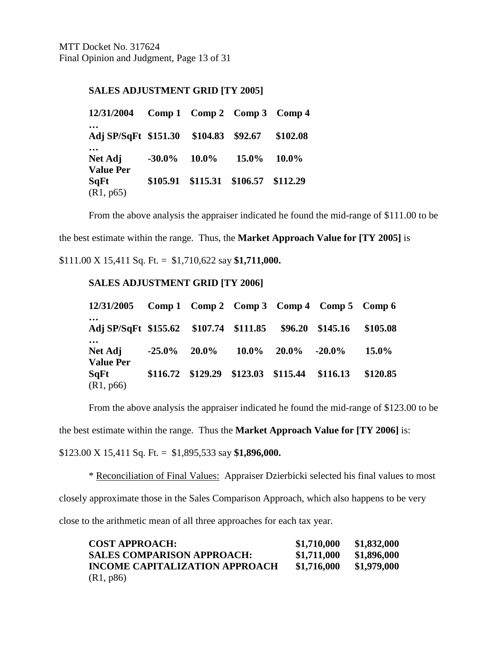MTT Docket No. 317624 Final Opinion and Judgment, Page 13 of 31

### **SALES ADJUSTMENT GRID [TY 2005]**

| 12/31/2004 Comp 1 Comp 2 Comp 3 Comp 4 |                                     |       |          |
|----------------------------------------|-------------------------------------|-------|----------|
| Adj SP/SqFt \$151.30 \$104.83 \$92.67  |                                     |       | \$102.08 |
| Net Adj<br><b>Value Per</b>            | $-30.0\%$ 10.0%                     | 15.0% | $10.0\%$ |
| SqFt<br>(R1, p65)                      | \$105.91 \$115.31 \$106.57 \$112.29 |       |          |

From the above analysis the appraiser indicated he found the mid-range of \$111.00 to be

the best estimate within the range. Thus, the **Market Approach Value for [TY 2005]** is

\$111.00 X 15,411 Sq. Ft. = \$1,710,622 say **\$1,711,000.**

### **SALES ADJUSTMENT GRID [TY 2006]**

| $12/31/2005$ Comp 1 Comp 2 Comp 3 Comp 4 Comp 5 Comp 6  |           |                                     |          |                 |          |          |
|---------------------------------------------------------|-----------|-------------------------------------|----------|-----------------|----------|----------|
| Adj SP/SqFt \$155.62 \$107.74 \$111.85 \$96.20 \$145.16 |           |                                     |          |                 |          | \$105.08 |
| $\cdots$<br>Net Adj<br><b>Value Per</b>                 | $-25.0\%$ | $20.0\%$                            | $10.0\%$ | $20.0\%$ -20.0% |          | $15.0\%$ |
| SqFt<br>(R1, p66)                                       |           | \$116.72 \$129.29 \$123.03 \$115.44 |          |                 | \$116.13 | \$120.85 |

From the above analysis the appraiser indicated he found the mid-range of \$123.00 to be

the best estimate within the range. Thus the **Market Approach Value for [TY 2006]** is:

\$123.00 X 15,411 Sq. Ft. = \$1,895,533 say **\$1,896,000.**

\* Reconciliation of Final Values: Appraiser Dzierbicki selected his final values to most closely approximate those in the Sales Comparison Approach, which also happens to be very close to the arithmetic mean of all three approaches for each tax year.

| <b>COST APPROACH:</b>                 | \$1,710,000 | \$1,832,000 |
|---------------------------------------|-------------|-------------|
| <b>SALES COMPARISON APPROACH:</b>     | \$1,711,000 | \$1,896,000 |
| <b>INCOME CAPITALIZATION APPROACH</b> | \$1,716,000 | \$1,979,000 |
| (R1, p86)                             |             |             |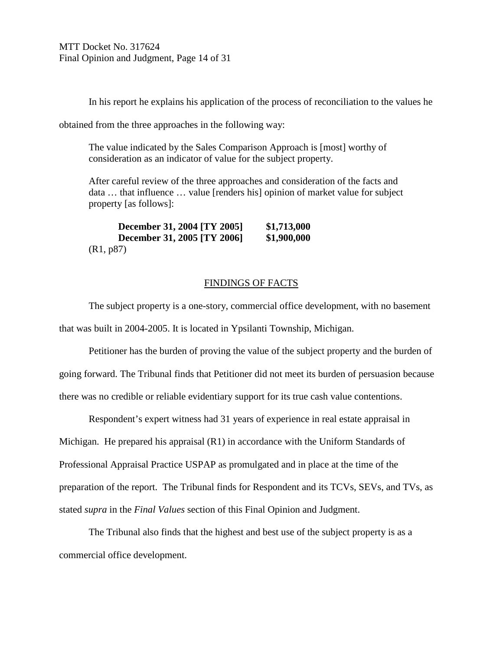In his report he explains his application of the process of reconciliation to the values he

obtained from the three approaches in the following way:

The value indicated by the Sales Comparison Approach is [most] worthy of consideration as an indicator of value for the subject property.

After careful review of the three approaches and consideration of the facts and data … that influence … value [renders his] opinion of market value for subject property [as follows]:

**December 31, 2004 [TY 2005] \$1,713,000 December 31, 2005 [TY 2006] \$1,900,000** (R1, p87)

### FINDINGS OF FACTS

The subject property is a one-story, commercial office development, with no basement that was built in 2004-2005. It is located in Ypsilanti Township, Michigan.

Petitioner has the burden of proving the value of the subject property and the burden of going forward. The Tribunal finds that Petitioner did not meet its burden of persuasion because there was no credible or reliable evidentiary support for its true cash value contentions.

Respondent's expert witness had 31 years of experience in real estate appraisal in Michigan. He prepared his appraisal (R1) in accordance with the Uniform Standards of Professional Appraisal Practice USPAP as promulgated and in place at the time of the preparation of the report. The Tribunal finds for Respondent and its TCVs, SEVs, and TVs, as stated *supra* in the *Final Values* section of this Final Opinion and Judgment.

The Tribunal also finds that the highest and best use of the subject property is as a commercial office development.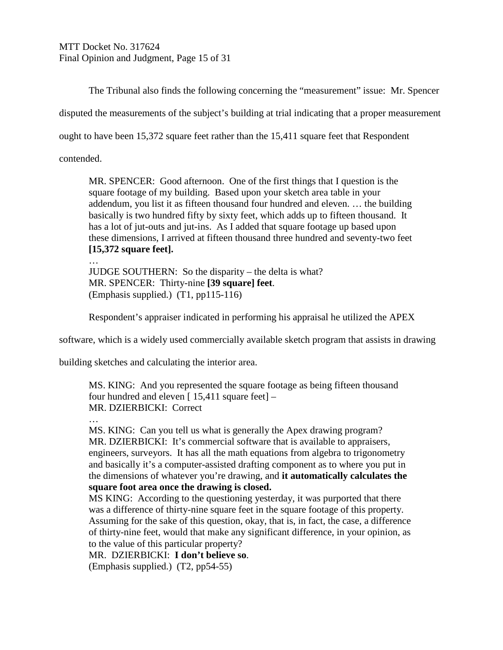MTT Docket No. 317624 Final Opinion and Judgment, Page 15 of 31

The Tribunal also finds the following concerning the "measurement" issue: Mr. Spencer

disputed the measurements of the subject's building at trial indicating that a proper measurement

ought to have been 15,372 square feet rather than the 15,411 square feet that Respondent

contended.

…

MR. SPENCER: Good afternoon. One of the first things that I question is the square footage of my building. Based upon your sketch area table in your addendum, you list it as fifteen thousand four hundred and eleven. … the building basically is two hundred fifty by sixty feet, which adds up to fifteen thousand. It has a lot of jut-outs and jut-ins. As I added that square footage up based upon these dimensions, I arrived at fifteen thousand three hundred and seventy-two feet **[15,372 square feet].**

JUDGE SOUTHERN: So the disparity – the delta is what? MR. SPENCER: Thirty-nine **[39 square] feet**. (Emphasis supplied.) (T1, pp115-116)

Respondent's appraiser indicated in performing his appraisal he utilized the APEX

software, which is a widely used commercially available sketch program that assists in drawing

building sketches and calculating the interior area.

MS. KING: And you represented the square footage as being fifteen thousand four hundred and eleven  $[15,411]$  square feet $]-$ MR. DZIERBICKI: Correct

…

MS. KING: Can you tell us what is generally the Apex drawing program? MR. DZIERBICKI: It's commercial software that is available to appraisers, engineers, surveyors. It has all the math equations from algebra to trigonometry and basically it's a computer-assisted drafting component as to where you put in the dimensions of whatever you're drawing, and **it automatically calculates the square foot area once the drawing is closed.**

MS KING: According to the questioning yesterday, it was purported that there was a difference of thirty-nine square feet in the square footage of this property. Assuming for the sake of this question, okay, that is, in fact, the case, a difference of thirty-nine feet, would that make any significant difference, in your opinion, as to the value of this particular property?

MR. DZIERBICKI: **I don't believe so**. (Emphasis supplied.) (T2, pp54-55)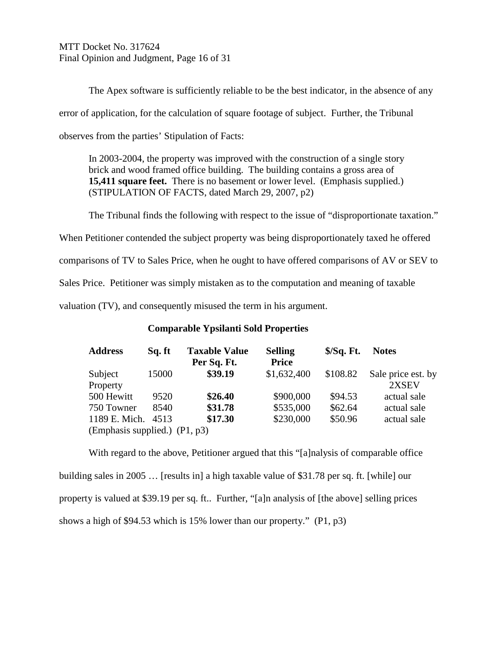MTT Docket No. 317624 Final Opinion and Judgment, Page 16 of 31

The Apex software is sufficiently reliable to be the best indicator, in the absence of any error of application, for the calculation of square footage of subject. Further, the Tribunal observes from the parties' Stipulation of Facts:

In 2003-2004, the property was improved with the construction of a single story brick and wood framed office building. The building contains a gross area of **15,411 square feet.** There is no basement or lower level. (Emphasis supplied.) (STIPULATION OF FACTS, dated March 29, 2007, p2)

The Tribunal finds the following with respect to the issue of "disproportionate taxation." When Petitioner contended the subject property was being disproportionately taxed he offered comparisons of TV to Sales Price, when he ought to have offered comparisons of AV or SEV to Sales Price. Petitioner was simply mistaken as to the computation and meaning of taxable valuation (TV), and consequently misused the term in his argument.

### **Comparable Ypsilanti Sold Properties**

| <b>Address</b>                  | Sq. ft | <b>Taxable Value</b> | <b>Selling</b> | $$/Sq$ . Ft. | <b>Notes</b>       |
|---------------------------------|--------|----------------------|----------------|--------------|--------------------|
|                                 |        | Per Sq. Ft.          | <b>Price</b>   |              |                    |
| Subject                         | 15000  | \$39.19              | \$1,632,400    | \$108.82     | Sale price est. by |
| Property                        |        |                      |                |              | 2XSEV              |
| 500 Hewitt                      | 9520   | \$26.40              | \$900,000      | \$94.53      | actual sale        |
| 750 Towner                      | 8540   | \$31.78              | \$535,000      | \$62.64      | actual sale        |
| 1189 E. Mich.                   | 4513   | \$17.30              | \$230,000      | \$50.96      | actual sale        |
| (Emphasis supplied.) $(P1, p3)$ |        |                      |                |              |                    |

With regard to the above, Petitioner argued that this "[a]nalysis of comparable office building sales in 2005 … [results in] a high taxable value of \$31.78 per sq. ft. [while] our property is valued at \$39.19 per sq. ft.. Further, "[a]n analysis of [the above] selling prices shows a high of \$94.53 which is 15% lower than our property." (P1, p3)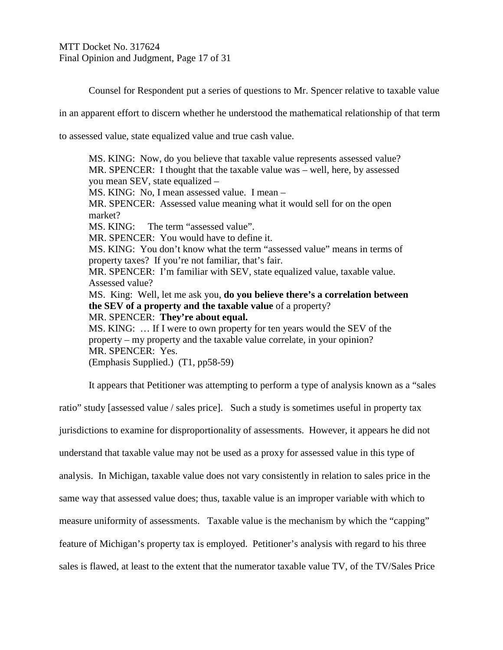MTT Docket No. 317624 Final Opinion and Judgment, Page 17 of 31

Counsel for Respondent put a series of questions to Mr. Spencer relative to taxable value

in an apparent effort to discern whether he understood the mathematical relationship of that term

to assessed value, state equalized value and true cash value.

MS. KING: Now, do you believe that taxable value represents assessed value? MR. SPENCER: I thought that the taxable value was – well, here, by assessed you mean SEV, state equalized – MS. KING: No, I mean assessed value. I mean – MR. SPENCER: Assessed value meaning what it would sell for on the open market? MS. KING: The term "assessed value". MR. SPENCER: You would have to define it. MS. KING: You don't know what the term "assessed value" means in terms of property taxes? If you're not familiar, that's fair. MR. SPENCER: I'm familiar with SEV, state equalized value, taxable value. Assessed value? MS. King: Well, let me ask you, **do you believe there's a correlation between the SEV of a property and the taxable value** of a property? MR. SPENCER: **They're about equal.** MS. KING: … If I were to own property for ten years would the SEV of the property – my property and the taxable value correlate, in your opinion? MR. SPENCER: Yes. (Emphasis Supplied.) (T1, pp58-59)

It appears that Petitioner was attempting to perform a type of analysis known as a "sales

ratio" study [assessed value / sales price]. Such a study is sometimes useful in property tax jurisdictions to examine for disproportionality of assessments. However, it appears he did not understand that taxable value may not be used as a proxy for assessed value in this type of analysis. In Michigan, taxable value does not vary consistently in relation to sales price in the same way that assessed value does; thus, taxable value is an improper variable with which to measure uniformity of assessments. Taxable value is the mechanism by which the "capping" feature of Michigan's property tax is employed. Petitioner's analysis with regard to his three sales is flawed, at least to the extent that the numerator taxable value TV, of the TV/Sales Price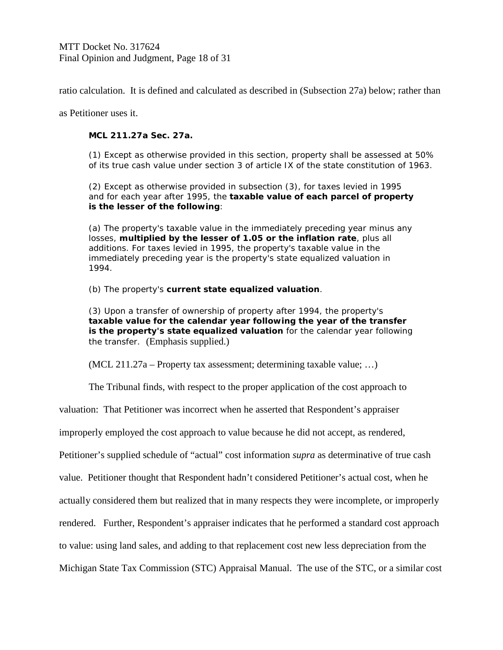ratio calculation. It is defined and calculated as described in (Subsection 27a) below; rather than

as Petitioner uses it.

### **MCL 211.27a Sec. 27a.**

(1) Except as otherwise provided in this section, property shall be assessed at 50% of its true cash value under section 3 of article IX of the state constitution of 1963.

(2) Except as otherwise provided in subsection (3), for taxes levied in 1995 and for each year after 1995, the **taxable value of each parcel of property is the lesser of the following**:

(a) The property's taxable value in the immediately preceding year minus any losses, **multiplied by the lesser of 1.05 or the inflation rate**, plus all additions. For taxes levied in 1995, the property's taxable value in the immediately preceding year is the property's state equalized valuation in 1994.

(b) The property's **current state equalized valuation**.

(3) Upon a transfer of ownership of property after 1994, the property's **taxable value for the calendar year following the year of the transfer is the property's state equalized valuation** for the calendar year following the transfer. (Emphasis supplied.)

(MCL 211.27a – Property tax assessment; determining taxable value; …)

The Tribunal finds, with respect to the proper application of the cost approach to

valuation: That Petitioner was incorrect when he asserted that Respondent's appraiser

improperly employed the cost approach to value because he did not accept, as rendered,

Petitioner's supplied schedule of "actual" cost information *supra* as determinative of true cash

value. Petitioner thought that Respondent hadn't considered Petitioner's actual cost, when he

actually considered them but realized that in many respects they were incomplete, or improperly

rendered. Further, Respondent's appraiser indicates that he performed a standard cost approach

to value: using land sales, and adding to that replacement cost new less depreciation from the

Michigan State Tax Commission (STC) Appraisal Manual. The use of the STC, or a similar cost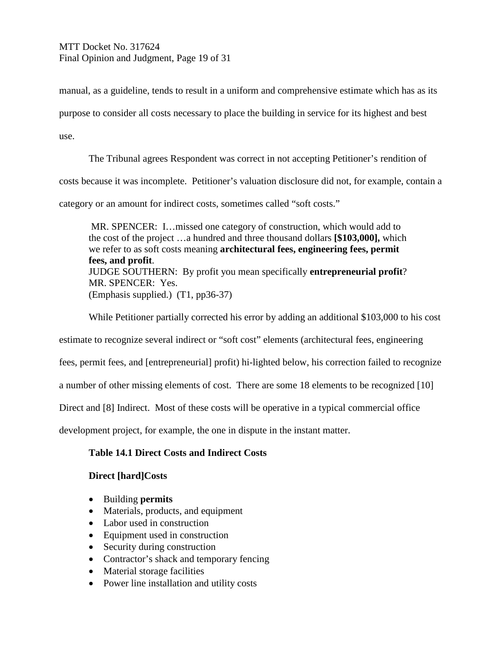MTT Docket No. 317624 Final Opinion and Judgment, Page 19 of 31

manual, as a guideline, tends to result in a uniform and comprehensive estimate which has as its

purpose to consider all costs necessary to place the building in service for its highest and best

use.

The Tribunal agrees Respondent was correct in not accepting Petitioner's rendition of costs because it was incomplete. Petitioner's valuation disclosure did not, for example, contain a

category or an amount for indirect costs, sometimes called "soft costs."

MR. SPENCER: I…missed one category of construction, which would add to the cost of the project …a hundred and three thousand dollars **[\$103,000],** which we refer to as soft costs meaning **architectural fees, engineering fees, permit fees, and profit**. JUDGE SOUTHERN: By profit you mean specifically **entrepreneurial profit**? MR. SPENCER: Yes. (Emphasis supplied.) (T1, pp36-37)

While Petitioner partially corrected his error by adding an additional \$103,000 to his cost

estimate to recognize several indirect or "soft cost" elements (architectural fees, engineering

fees, permit fees, and [entrepreneurial] profit) hi-lighted below, his correction failed to recognize

a number of other missing elements of cost. There are some 18 elements to be recognized [10]

Direct and [8] Indirect. Most of these costs will be operative in a typical commercial office

development project, for example, the one in dispute in the instant matter.

## **Table 14.1 Direct Costs and Indirect Costs**

## **Direct [hard]Costs**

- Building **permits**
- Materials, products, and equipment
- Labor used in construction
- Equipment used in construction
- Security during construction
- Contractor's shack and temporary fencing
- Material storage facilities
- Power line installation and utility costs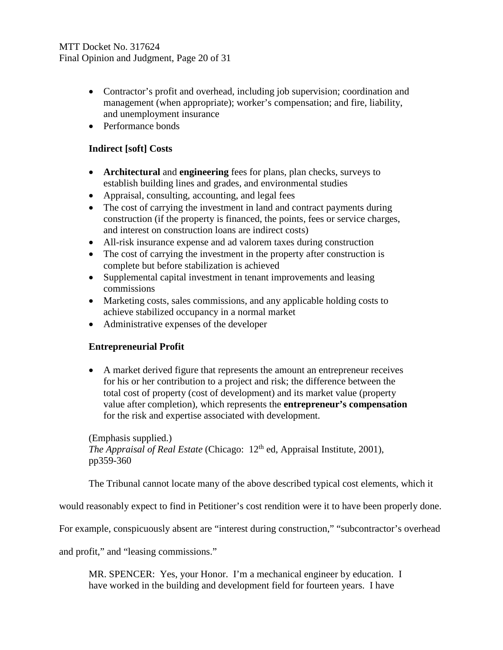- Contractor's profit and overhead, including job supervision; coordination and management (when appropriate); worker's compensation; and fire, liability, and unemployment insurance
- Performance bonds

## **Indirect [soft] Costs**

- **Architectural** and **engineering** fees for plans, plan checks, surveys to establish building lines and grades, and environmental studies
- Appraisal, consulting, accounting, and legal fees
- The cost of carrying the investment in land and contract payments during construction (if the property is financed, the points, fees or service charges, and interest on construction loans are indirect costs)
- All-risk insurance expense and ad valorem taxes during construction
- The cost of carrying the investment in the property after construction is complete but before stabilization is achieved
- Supplemental capital investment in tenant improvements and leasing commissions
- Marketing costs, sales commissions, and any applicable holding costs to achieve stabilized occupancy in a normal market
- Administrative expenses of the developer

# **Entrepreneurial Profit**

• A market derived figure that represents the amount an entrepreneur receives for his or her contribution to a project and risk; the difference between the total cost of property (cost of development) and its market value (property value after completion), which represents the **entrepreneur's compensation** for the risk and expertise associated with development.

(Emphasis supplied.) *The Appraisal of Real Estate* (Chicago: 12<sup>th</sup> ed, Appraisal Institute, 2001), pp359-360

The Tribunal cannot locate many of the above described typical cost elements, which it

would reasonably expect to find in Petitioner's cost rendition were it to have been properly done.

For example, conspicuously absent are "interest during construction," "subcontractor's overhead

and profit," and "leasing commissions."

MR. SPENCER: Yes, your Honor. I'm a mechanical engineer by education. I have worked in the building and development field for fourteen years. I have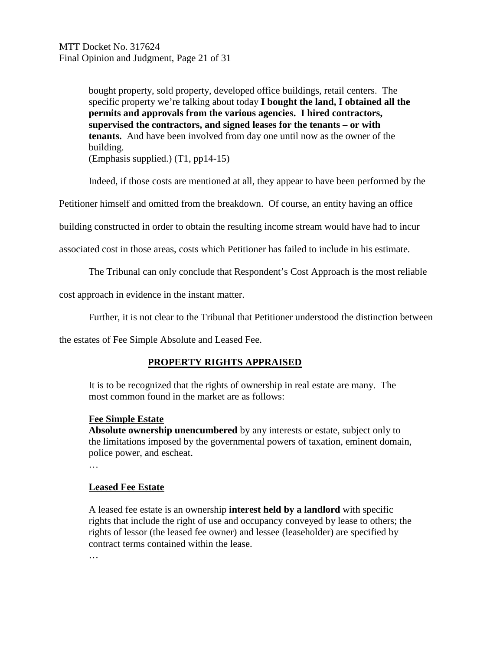bought property, sold property, developed office buildings, retail centers. The specific property we're talking about today **I bought the land, I obtained all the permits and approvals from the various agencies. I hired contractors, supervised the contractors, and signed leases for the tenants – or with tenants.** And have been involved from day one until now as the owner of the building.

(Emphasis supplied.) (T1, pp14-15)

Indeed, if those costs are mentioned at all, they appear to have been performed by the

Petitioner himself and omitted from the breakdown. Of course, an entity having an office

building constructed in order to obtain the resulting income stream would have had to incur

associated cost in those areas, costs which Petitioner has failed to include in his estimate.

The Tribunal can only conclude that Respondent's Cost Approach is the most reliable

cost approach in evidence in the instant matter.

Further, it is not clear to the Tribunal that Petitioner understood the distinction between

the estates of Fee Simple Absolute and Leased Fee.

## **PROPERTY RIGHTS APPRAISED**

It is to be recognized that the rights of ownership in real estate are many. The most common found in the market are as follows:

### **Fee Simple Estate**

**Absolute ownership unencumbered** by any interests or estate, subject only to the limitations imposed by the governmental powers of taxation, eminent domain, police power, and escheat.

…

## **Leased Fee Estate**

A leased fee estate is an ownership **interest held by a landlord** with specific rights that include the right of use and occupancy conveyed by lease to others; the rights of lessor (the leased fee owner) and lessee (leaseholder) are specified by contract terms contained within the lease.

…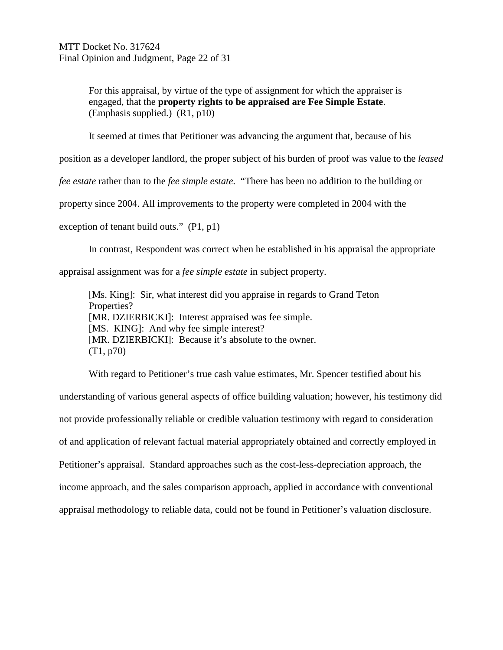For this appraisal, by virtue of the type of assignment for which the appraiser is engaged, that the **property rights to be appraised are Fee Simple Estate**. (Emphasis supplied.) (R1, p10)

It seemed at times that Petitioner was advancing the argument that, because of his

position as a developer landlord, the proper subject of his burden of proof was value to the *leased* 

*fee estate* rather than to the *fee simple estate*. "There has been no addition to the building or

property since 2004. All improvements to the property were completed in 2004 with the

exception of tenant build outs." (P1, p1)

In contrast, Respondent was correct when he established in his appraisal the appropriate

appraisal assignment was for a *fee simple estate* in subject property.

[Ms. King]: Sir, what interest did you appraise in regards to Grand Teton Properties? [MR. DZIERBICKI]: Interest appraised was fee simple. [MS. KING]: And why fee simple interest? [MR. DZIERBICKI]: Because it's absolute to the owner. (T1, p70)

With regard to Petitioner's true cash value estimates, Mr. Spencer testified about his understanding of various general aspects of office building valuation; however, his testimony did not provide professionally reliable or credible valuation testimony with regard to consideration of and application of relevant factual material appropriately obtained and correctly employed in Petitioner's appraisal. Standard approaches such as the cost-less-depreciation approach, the income approach, and the sales comparison approach, applied in accordance with conventional appraisal methodology to reliable data, could not be found in Petitioner's valuation disclosure.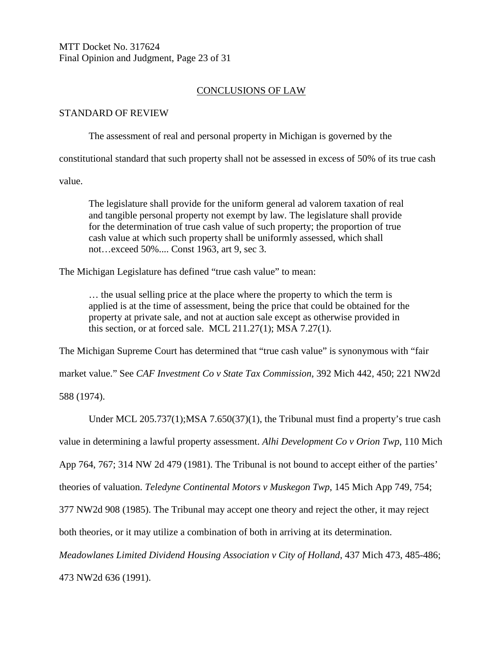MTT Docket No. 317624 Final Opinion and Judgment, Page 23 of 31

### CONCLUSIONS OF LAW

#### STANDARD OF REVIEW

The assessment of real and personal property in Michigan is governed by the

constitutional standard that such property shall not be assessed in excess of 50% of its true cash

value.

The legislature shall provide for the uniform general ad valorem taxation of real and tangible personal property not exempt by law. The legislature shall provide for the determination of true cash value of such property; the proportion of true cash value at which such property shall be uniformly assessed, which shall not…exceed 50%.... Const 1963, art 9, sec 3.

The Michigan Legislature has defined "true cash value" to mean:

… the usual selling price at the place where the property to which the term is applied is at the time of assessment, being the price that could be obtained for the property at private sale, and not at auction sale except as otherwise provided in this section, or at forced sale. MCL  $211.27(1)$ ; MSA  $7.27(1)$ .

The Michigan Supreme Court has determined that "true cash value" is synonymous with "fair

market value." See *CAF Investment Co v State Tax Commission*, 392 Mich 442, 450; 221 NW2d

588 (1974).

Under MCL 205.737(1);MSA 7.650(37)(1), the Tribunal must find a property's true cash

value in determining a lawful property assessment. *Alhi Development Co v Orion Twp*, 110 Mich

App 764, 767; 314 NW 2d 479 (1981). The Tribunal is not bound to accept either of the parties'

theories of valuation. *Teledyne Continental Motors v Muskegon Twp*, 145 Mich App 749, 754;

377 NW2d 908 (1985). The Tribunal may accept one theory and reject the other, it may reject

both theories, or it may utilize a combination of both in arriving at its determination.

*Meadowlanes Limited Dividend Housing Association v City of Holland*, 437 Mich 473, 485-486;

473 NW2d 636 (1991).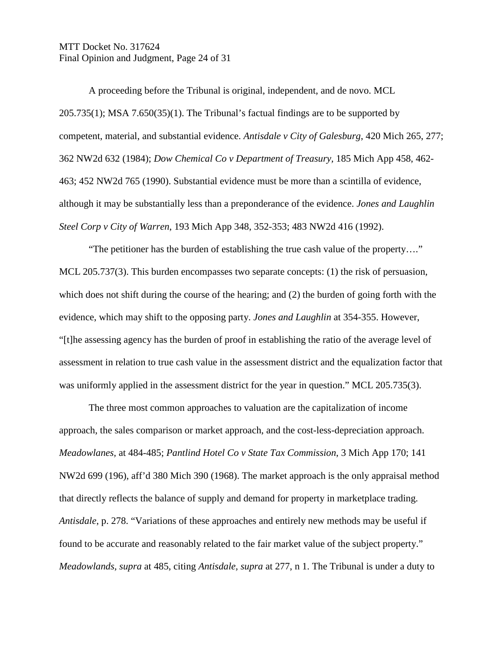MTT Docket No. 317624 Final Opinion and Judgment, Page 24 of 31

A proceeding before the Tribunal is original, independent, and de novo. MCL 205.735(1); MSA 7.650(35)(1). The Tribunal's factual findings are to be supported by competent, material, and substantial evidence. *Antisdale v City of Galesburg*, 420 Mich 265, 277; 362 NW2d 632 (1984); *Dow Chemical Co v Department of Treasury,* 185 Mich App 458, 462- 463; 452 NW2d 765 (1990). Substantial evidence must be more than a scintilla of evidence, although it may be substantially less than a preponderance of the evidence. *Jones and Laughlin Steel Corp v City of Warren*, 193 Mich App 348, 352-353; 483 NW2d 416 (1992).

"The petitioner has the burden of establishing the true cash value of the property…." MCL 205.737(3). This burden encompasses two separate concepts: (1) the risk of persuasion, which does not shift during the course of the hearing; and (2) the burden of going forth with the evidence, which may shift to the opposing party. *Jones and Laughlin* at 354-355. However, "[t]he assessing agency has the burden of proof in establishing the ratio of the average level of assessment in relation to true cash value in the assessment district and the equalization factor that was uniformly applied in the assessment district for the year in question." MCL 205.735(3).

The three most common approaches to valuation are the capitalization of income approach, the sales comparison or market approach, and the cost-less-depreciation approach. *Meadowlanes,* at 484-485; *Pantlind Hotel Co v State Tax Commission*, 3 Mich App 170; 141 NW2d 699 (196), aff'd 380 Mich 390 (1968). The market approach is the only appraisal method that directly reflects the balance of supply and demand for property in marketplace trading. *Antisdale*, p. 278. "Variations of these approaches and entirely new methods may be useful if found to be accurate and reasonably related to the fair market value of the subject property." *Meadowlands, supra* at 485, citing *Antisdale, supra* at 277, n 1. The Tribunal is under a duty to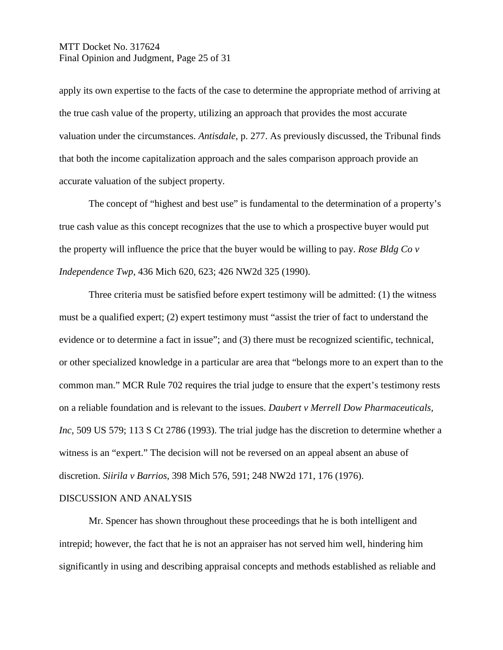## MTT Docket No. 317624 Final Opinion and Judgment, Page 25 of 31

apply its own expertise to the facts of the case to determine the appropriate method of arriving at the true cash value of the property, utilizing an approach that provides the most accurate valuation under the circumstances. *Antisdale*, p. 277. As previously discussed, the Tribunal finds that both the income capitalization approach and the sales comparison approach provide an accurate valuation of the subject property.

The concept of "highest and best use" is fundamental to the determination of a property's true cash value as this concept recognizes that the use to which a prospective buyer would put the property will influence the price that the buyer would be willing to pay. *Rose Bldg Co v Independence Twp*, 436 Mich 620, 623; 426 NW2d 325 (1990).

Three criteria must be satisfied before expert testimony will be admitted: (1) the witness must be a qualified expert; (2) expert testimony must "assist the trier of fact to understand the evidence or to determine a fact in issue"; and (3) there must be recognized scientific, technical, or other specialized knowledge in a particular are area that "belongs more to an expert than to the common man." MCR Rule 702 requires the trial judge to ensure that the expert's testimony rests on a reliable foundation and is relevant to the issues. *Daubert v Merrell Dow Pharmaceuticals, Inc,* 509 US 579; 113 S Ct 2786 (1993). The trial judge has the discretion to determine whether a witness is an "expert." The decision will not be reversed on an appeal absent an abuse of discretion. *Siirila v Barrios*, 398 Mich 576, 591; 248 NW2d 171, 176 (1976).

#### DISCUSSION AND ANALYSIS

Mr. Spencer has shown throughout these proceedings that he is both intelligent and intrepid; however, the fact that he is not an appraiser has not served him well, hindering him significantly in using and describing appraisal concepts and methods established as reliable and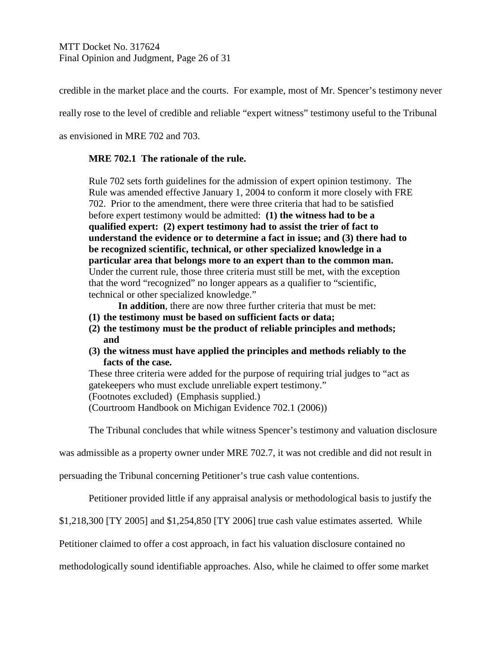credible in the market place and the courts. For example, most of Mr. Spencer's testimony never

really rose to the level of credible and reliable "expert witness" testimony useful to the Tribunal

as envisioned in MRE 702 and 703.

## **MRE 702.1 The rationale of the rule.**

Rule 702 sets forth guidelines for the admission of expert opinion testimony. The Rule was amended effective January 1, 2004 to conform it more closely with FRE 702. Prior to the amendment, there were three criteria that had to be satisfied before expert testimony would be admitted: **(1) the witness had to be a qualified expert: (2) expert testimony had to assist the trier of fact to understand the evidence or to determine a fact in issue; and (3) there had to be recognized scientific, technical, or other specialized knowledge in a particular area that belongs more to an expert than to the common man.**  Under the current rule, those three criteria must still be met, with the exception that the word "recognized" no longer appears as a qualifier to "scientific, technical or other specialized knowledge."

**In addition**, there are now three further criteria that must be met:

- **(1) the testimony must be based on sufficient facts or data;**
- **(2) the testimony must be the product of reliable principles and methods; and**
- **(3) the witness must have applied the principles and methods reliably to the facts of the case.**

These three criteria were added for the purpose of requiring trial judges to "act as gatekeepers who must exclude unreliable expert testimony." (Footnotes excluded) (Emphasis supplied.) (Courtroom Handbook on Michigan Evidence 702.1 (2006))

The Tribunal concludes that while witness Spencer's testimony and valuation disclosure

was admissible as a property owner under MRE 702.7, it was not credible and did not result in

persuading the Tribunal concerning Petitioner's true cash value contentions.

Petitioner provided little if any appraisal analysis or methodological basis to justify the

\$1,218,300 [TY 2005] and \$1,254,850 [TY 2006] true cash value estimates asserted. While

Petitioner claimed to offer a cost approach, in fact his valuation disclosure contained no

methodologically sound identifiable approaches. Also, while he claimed to offer some market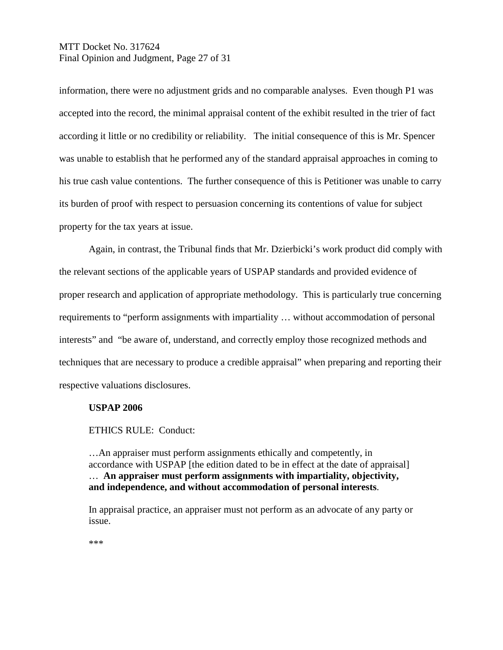## MTT Docket No. 317624 Final Opinion and Judgment, Page 27 of 31

information, there were no adjustment grids and no comparable analyses. Even though P1 was accepted into the record, the minimal appraisal content of the exhibit resulted in the trier of fact according it little or no credibility or reliability. The initial consequence of this is Mr. Spencer was unable to establish that he performed any of the standard appraisal approaches in coming to his true cash value contentions. The further consequence of this is Petitioner was unable to carry its burden of proof with respect to persuasion concerning its contentions of value for subject property for the tax years at issue.

Again, in contrast, the Tribunal finds that Mr. Dzierbicki's work product did comply with the relevant sections of the applicable years of USPAP standards and provided evidence of proper research and application of appropriate methodology. This is particularly true concerning requirements to "perform assignments with impartiality … without accommodation of personal interests" and "be aware of, understand, and correctly employ those recognized methods and techniques that are necessary to produce a credible appraisal" when preparing and reporting their respective valuations disclosures.

#### **USPAP 2006**

#### ETHICS RULE: Conduct:

…An appraiser must perform assignments ethically and competently, in accordance with USPAP [the edition dated to be in effect at the date of appraisal] … **An appraiser must perform assignments with impartiality, objectivity, and independence, and without accommodation of personal interests**.

In appraisal practice, an appraiser must not perform as an advocate of any party or issue.

\*\*\*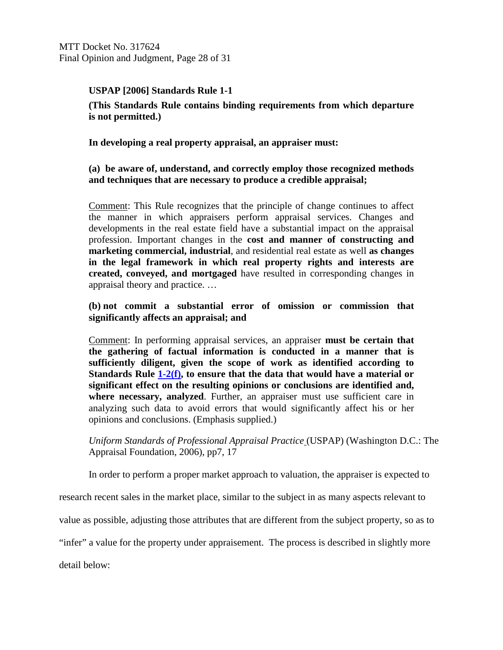MTT Docket No. 317624 Final Opinion and Judgment, Page 28 of 31

## **USPAP [2006] Standards Rule 1-1**

**(This Standards Rule contains binding requirements from which departure is not permitted.)**

**In developing a real property appraisal, an appraiser must:**

### **(a) be aware of, understand, and correctly employ those recognized methods and techniques that are necessary to produce a credible appraisal;**

Comment: This Rule recognizes that the principle of change continues to affect the manner in which appraisers perform appraisal services. Changes and developments in the real estate field have a substantial impact on the appraisal profession. Important changes in the **cost and manner of constructing and marketing commercial, industrial**, and residential real estate as well **as changes in the legal framework in which real property rights and interests are created, conveyed, and mortgaged** have resulted in corresponding changes in appraisal theory and practice. …

### **(b) not commit a substantial error of omission or commission that significantly affects an appraisal; and**

Comment: In performing appraisal services, an appraiser **must be certain that the gathering of factual information is conducted in a manner that is sufficiently diligent, given the scope of work as identified according to Standards Rule 1-2(f), to ensure that the data that would have a material or significant effect on the resulting opinions or conclusions are identified and, where necessary, analyzed**. Further, an appraiser must use sufficient care in analyzing such data to avoid errors that would significantly affect his or her opinions and conclusions. (Emphasis supplied.)

*Uniform Standards of Professional Appraisal Practice* (USPAP) (Washington D.C.: The Appraisal Foundation, 2006), pp7, 17

In order to perform a proper market approach to valuation, the appraiser is expected to

research recent sales in the market place, similar to the subject in as many aspects relevant to

value as possible, adjusting those attributes that are different from the subject property, so as to

"infer" a value for the property under appraisement. The process is described in slightly more

detail below: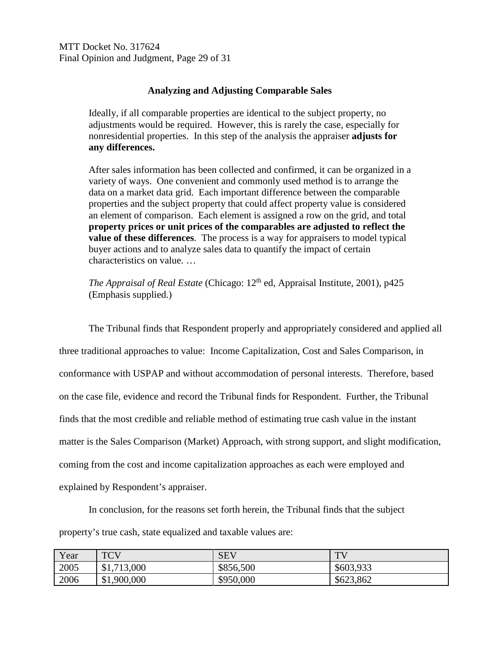MTT Docket No. 317624 Final Opinion and Judgment, Page 29 of 31

### **Analyzing and Adjusting Comparable Sales**

Ideally, if all comparable properties are identical to the subject property, no adjustments would be required. However, this is rarely the case, especially for nonresidential properties. In this step of the analysis the appraiser **adjusts for any differences.**

After sales information has been collected and confirmed, it can be organized in a variety of ways. One convenient and commonly used method is to arrange the data on a market data grid. Each important difference between the comparable properties and the subject property that could affect property value is considered an element of comparison. Each element is assigned a row on the grid, and total **property prices or unit prices of the comparables are adjusted to reflect the value of these differences**. The process is a way for appraisers to model typical buyer actions and to analyze sales data to quantify the impact of certain characteristics on value. …

*The Appraisal of Real Estate* (Chicago: 12<sup>th</sup> ed, Appraisal Institute, 2001), p425 (Emphasis supplied.)

The Tribunal finds that Respondent properly and appropriately considered and applied all three traditional approaches to value: Income Capitalization, Cost and Sales Comparison, in conformance with USPAP and without accommodation of personal interests. Therefore, based on the case file, evidence and record the Tribunal finds for Respondent. Further, the Tribunal finds that the most credible and reliable method of estimating true cash value in the instant matter is the Sales Comparison (Market) Approach, with strong support, and slight modification, coming from the cost and income capitalization approaches as each were employed and explained by Respondent's appraiser.

In conclusion, for the reasons set forth herein, the Tribunal finds that the subject property's true cash, state equalized and taxable values are:

| Year | <b>TCV</b>               | <b>SEV</b> | <b>TIT</b> |
|------|--------------------------|------------|------------|
| 2005 | 713,000<br>712<br>$-1.7$ | \$856,500  | \$603,933  |
| 2006 | \$1,900,000              | \$950,000  | \$623,862  |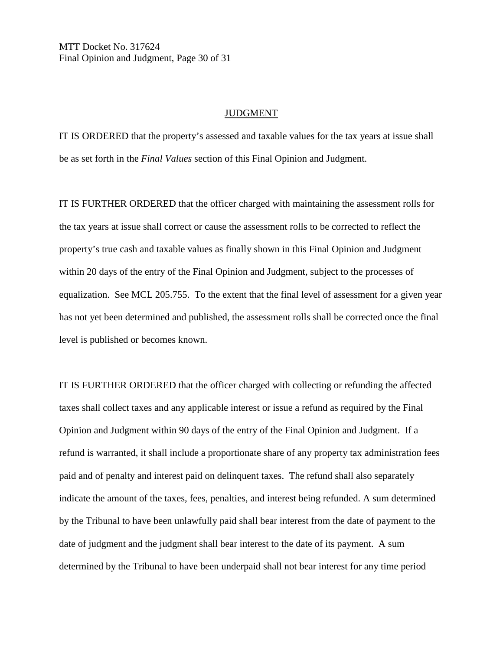MTT Docket No. 317624 Final Opinion and Judgment, Page 30 of 31

#### JUDGMENT

IT IS ORDERED that the property's assessed and taxable values for the tax years at issue shall be as set forth in the *Final Values* section of this Final Opinion and Judgment.

IT IS FURTHER ORDERED that the officer charged with maintaining the assessment rolls for the tax years at issue shall correct or cause the assessment rolls to be corrected to reflect the property's true cash and taxable values as finally shown in this Final Opinion and Judgment within 20 days of the entry of the Final Opinion and Judgment, subject to the processes of equalization. See MCL 205.755. To the extent that the final level of assessment for a given year has not yet been determined and published, the assessment rolls shall be corrected once the final level is published or becomes known.

IT IS FURTHER ORDERED that the officer charged with collecting or refunding the affected taxes shall collect taxes and any applicable interest or issue a refund as required by the Final Opinion and Judgment within 90 days of the entry of the Final Opinion and Judgment. If a refund is warranted, it shall include a proportionate share of any property tax administration fees paid and of penalty and interest paid on delinquent taxes. The refund shall also separately indicate the amount of the taxes, fees, penalties, and interest being refunded. A sum determined by the Tribunal to have been unlawfully paid shall bear interest from the date of payment to the date of judgment and the judgment shall bear interest to the date of its payment. A sum determined by the Tribunal to have been underpaid shall not bear interest for any time period